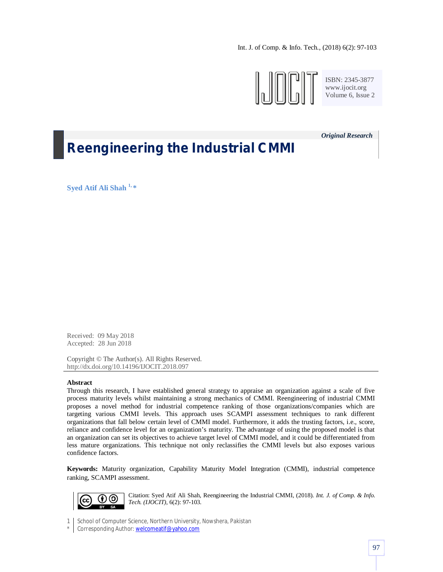Int. J. of Comp. & Info. Tech., (2018) 6(2): 97-103



ISBN: 2345-3877 www.ijocit.org Volume 6, Issue 2

*Original Research\_\_*

# **Reengineering the Industrial CMMI**

**Syed Atif Ali Shah 1, \***

Received: 09 May 2018 Accepted: 28 Jun 2018

Copyright © The Author(s). All Rights Reserved. http://dx.doi.org/10.14196/IJOCIT.2018.097

## **Abstract**

Through this research, I have established general strategy to appraise an organization against a scale of five process maturity levels whilst maintaining a strong mechanics of CMMI. Reengineering of industrial CMMI proposes a novel method for industrial competence ranking of those organizations/companies which are targeting various CMMI levels. This approach uses SCAMPI assessment techniques to rank different organizations that fall below certain level of CMMI model. Furthermore, it adds the trusting factors, i.e., score, reliance and confidence level for an organization's maturity. The advantage of using the proposed model is that an organization can set its objectives to achieve target level of CMMI model, and it could be differentiated from less mature organizations. This technique not only reclassifies the CMMI levels but also exposes various confidence factors.

**Keywords:** Maturity organization, Capability Maturity Model Integration (CMMI), industrial competence ranking, SCAMPI assessment.



Citation: Syed Atif Ali Shah, Reengineering the Industrial CMMI, (2018). *Int. J. of Comp. & Info. Tech. (IJOCIT)*, 6(2): 97-103.

1 School of Computer Science, Northern University, Nowshera, Pakistan

\* Corresponding Author: welcomeatif@yahoo.com \*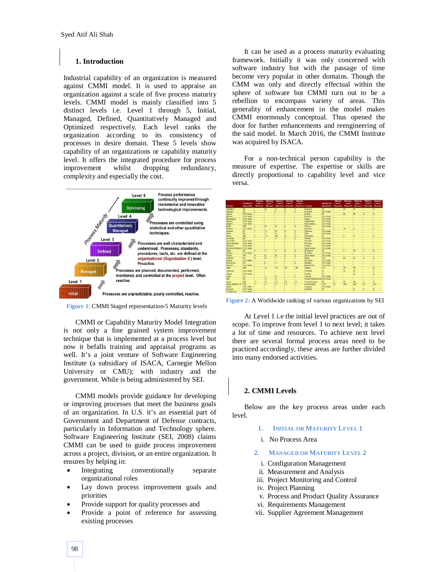## **1. Introduction**

Industrial capability of an organization is measured against CMMI model. It is used to appraise an organization against a scale of five process maturity levels. CMMI model is mainly classified into 5 distinct levels i.e. Level 1 through 5, Initial, Managed, Defined, Quantitatively Managed and Optimized respectively. Each level ranks the organization according to its consistency of processes in desire domain. These 5 levels show capability of an organizations or capability maturity level. It offers the integrated procedure for process improvement whilst dropping redundancy, complexity and especially the cost.





CMMI or Capability Maturity Model Integration is not only a fine grained system improvement technique that is implemented at a process level but now it befalls training and appraisal programs as well. It's a joint venture of Software Engineering Institute (a subsidiary of ISACA, Carnegie Mellon University or CMU); with industry and the government. While is being administered by SEI.

CMMI models provide guidance for developing or improving processes that meet the business goals of an organization. In U.S. it's an essential part of Government and Department of Defense contracts, particularly in Information and Technology sphere. Software Engineering Institute (SEI, 2008) claims CMMI can be used to guide process improvement across a project, division, or an entire organization. It ensures by helping in:

- Integrating conventionally separate organizational roles
- Lay down process improvement goals and priorities
- Provide support for quality processes and
- Provide a point of reference for assessing existing processes

It can be used as a process maturity evaluating framework. Initially it was only concerned with software industry but with the passage of time become very popular in other domains. Though the CMM was only and directly effectual within the sphere of software but CMMI turn out to be a rebellion to encompass variety of areas. This generality of enhancement in the model makes CMMI enormously conceptual. Thus opened the door for further enhancements and reengineering of the said model. In March 2016, the CMMI Institute was acquired by ISACA.

For a non-technical person capability is the measure of expertise. The expertise or skills are directly proportional to capability level and vice versa.

|                                |                  | M-Runtsy       | Maturity       | Matunov   | <b>Matius</b> Ev | Maturity         |                                  |                  | <b>Maturey</b>  | Matunty                 | Maturity                 | Maturity | <b>Magazine</b> |
|--------------------------------|------------------|----------------|----------------|-----------|------------------|------------------|----------------------------------|------------------|-----------------|-------------------------|--------------------------|----------|-----------------|
|                                | <b>Number of</b> | Level 1        | Lewi12         | Lewi3     | Level 4          | Lewi 5           |                                  | <b>Number of</b> | Level 1         | Lewi2                   | Lewil 3                  | Level 4  | Level 5         |
| Country                        | Appraisais       | Reported       | Reported       | Reported  | Reported         | Reported Country |                                  | Appraisals       | Reported        | Reported                | Reported                 | Reported | Reported        |
| Argentina                      | 64               |                | 45             | 12        | $\overline{2}$   | Īā               | At ala ya la                     | <b>RG</b>        |                 | $\overline{\mathbf{z}}$ | 21                       |          | G.              |
| Australia                      | 32               |                | Ÿ.             | G         | $\overline{2}$   | G                | <b>Maritim</b>                   | 10 or fewer      |                 |                         |                          |          |                 |
| Austria                        | 10 or favor      |                |                |           |                  |                  | Maxim                            | $\overline{57}$  |                 | $\overline{24}$         | $\overline{\mathbf{z}}$  | ā        | ā               |
| Bahrain                        | 10 or found      |                |                |           |                  |                  | Marago                           | 10 or to yer     |                 |                         |                          |          |                 |
| Bangladesh                     | 10 or found      |                |                |           |                  |                  | Nepal                            | 10 or fower      |                 |                         |                          |          |                 |
| <b>Relative</b>                | 10 or fovor      |                |                |           |                  |                  | Nethodands                       | 10 or fower      |                 |                         |                          |          |                 |
| Belgium                        | 10 or foxer      |                |                |           |                  |                  | New Zealand                      | 10 or fower      |                 |                         |                          |          |                 |
| <b>Prazil</b>                  | 109              |                | lsa            | 42        | r                | q                | Nonety                           | 10 or fower      |                 |                         |                          |          |                 |
| Bulgaria                       | 10 or favor      |                |                |           |                  |                  | Pakk tan                         | 21               |                 | 18                      | a                        |          |                 |
| Canada                         | 51               |                | 12             | 22        | G                | h                | Panama                           | 10 or fower      |                 |                         |                          |          |                 |
| Ch16                           | 30               |                | 17             | ta        |                  | h                | Peni                             | 10 or fewar      |                 |                         |                          |          |                 |
| China                          | 7.45             |                | 1.17           | n-an      | $\overline{27}$  | a.               | Philippines                      | 21               |                 | 2                       | Ħ                        |          | R               |
| Colombia                       | 22               |                | 7              | <b>FF</b> | r                |                  | Poland                           | 10 or fower      |                 |                         |                          |          |                 |
| Costa Rica                     | 10 or fovor      |                |                |           |                  |                  | Portugal                         | 10 or fower      |                 |                         |                          |          |                 |
| Crech Regulato                 | 10 or fovor      |                |                |           |                  |                  | Romania                          | 10 or fower      |                 |                         |                          |          |                 |
| <b>Denmark</b>                 | 10 or fovor      |                |                |           |                  |                  | Russia                           | 10 or fower      |                 |                         |                          |          |                 |
| Dominican Republic 10 or fewer |                  |                |                |           |                  |                  | Saudi Arabia                     | 10 or fower      |                 |                         |                          |          |                 |
| Egypt                          | 34               |                | 17             | <b>HE</b> | $\overline{2}$   |                  | Singapone                        | 19               |                 | ä                       | 10 <sub>1</sub>          |          | ä               |
| Finland                        | 10 or found      |                |                |           |                  |                  | Stovakia                         | 10 or fewer      |                 |                         |                          |          |                 |
| France                         | 141              | A              | 81             | 45        | F                |                  | South Africa                     | 10 or fower      |                 |                         |                          |          |                 |
| Germany                        | 64               | $\overline{a}$ | 32             | m         | F                |                  | Spain                            | 105              |                 | $\omega$                | $\overline{\mathbf{35}}$ | 2        | E               |
| Greece                         | 10 or fower      |                |                |           |                  |                  | <b>Sri Lanka</b>                 | 10 or fower      |                 |                         |                          |          |                 |
| Hong Kong                      | 18               |                | $\overline{2}$ | <b>TT</b> |                  | 6                | Sweden                           | 10 or fower      |                 |                         |                          |          |                 |
| Hungary                        | 10 or fovor      |                |                |           |                  |                  | Switzerland                      | 10 or fower      |                 |                         |                          |          |                 |
| India                          | 409              |                | 14             | 191       | 24               | 166              | Taken                            | 117              |                 | 74                      | 38                       |          | ø               |
| Indonesia                      | 10 or favor      |                |                |           |                  |                  | Thaland                          | $\overline{z}$   |                 | $\overline{2}$          | 13                       |          | ŧ               |
| tostant                        | 10 or fovor      |                |                |           |                  |                  | Turkey                           | sa               |                 |                         | $\overline{2}$           |          | 2               |
| <b>Israel</b>                  | 17               |                | ā              | 10        |                  | $\overline{a}$   | Ukraine                          | 10 or fewer      |                 |                         |                          |          |                 |
| <b>Italy</b>                   | 31               |                | 14             | 84        |                  |                  | United Arab Emirates 10 or fewer |                  |                 |                         |                          |          |                 |
| Japan                          | 267              | 17             | 75             | 121       | 13               | 16               | United Kingdom                   | $\mathfrak{m}$   | B               | 42                      | 30                       |          | 3               |
| Karea, Republic Of             | 133              | ٠              | 47             | 61        | 13               | 7                | <b>United States</b>             | 1272             | $\overline{27}$ | 448                     | 852                      | 21       | 124             |
| LaMa                           | 10 or fewer      |                |                |           |                  |                  | Unguay                           | 10 or fewer      |                 |                         |                          |          |                 |
| Uthumla                        | 10 or fewer      |                |                |           |                  |                  | <b>Mat Nam</b>                   | 12               |                 |                         | ø                        |          | $\overline{2}$  |
| Luxembourg                     | 10 or fewer      |                |                |           |                  |                  |                                  |                  |                 |                         |                          |          |                 |

**Figure 2:** A Worldwide ranking of various organizations by SEI

At Level 1 i.e the initial level practices are out of scope. To improve from level 1 to next level; it takes a lot of time and resources. To achieve next level there are several formal process areas need to be practiced accordingly, these areas are further divided into many endorsed activities.

## **2. CMMI Levels**

Below are the key process areas under each level.

- **1. INITIAL OR MATURITY LEVEL 1**
- i. No Process Area
- **2. MANAGED OR MATURITY LEVEL 2**
	- i. Configuration Management
- ii. Measurement and Analysis
- iii. Project Monitoring and Control
- iv. Project Planning
- v. Process and Product Quality Assurance
- vi. Requirements Management
- vii. Supplier Agreement Management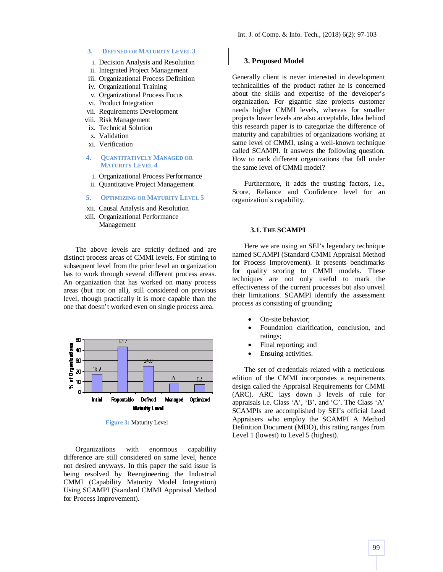#### **3. DEFINED OR MATURITY LEVEL 3**

- i. Decision Analysis and Resolution
- ii. Integrated Project Management
- iii. Organizational Process Definition
- iv. Organizational Training
- v. Organizational Process Focus
- vi. Product Integration
- vii. Requirements Development
- viii. Risk Management
- ix. Technical Solution
- x. Validation
- xi. Verification
- **4. QUANTITATIVELY MANAGED OR MATURITY LEVEL 4**
	- i. Organizational Process Performance
- ii. Quantitative Project Management
- **5. OPTIMIZING OR MATURITY LEVEL 5**
- xii. Causal Analysis and Resolution
- xiii. Organizational Performance Management

The above levels are strictly defined and are distinct process areas of CMMI levels. For stirring to subsequent level from the prior level an organization has to work through several different process areas. An organization that has worked on many process areas (but not on all), still considered on previous level, though practically it is more capable than the one that doesn't worked even on single process area.



**Figure 3:** Maturity Level

Organizations with enormous capability difference are still considered on same level, hence not desired anyways. In this paper the said issue is being resolved by Reengineering the Industrial CMMI (Capability Maturity Model Integration) Using SCAMPI (Standard CMMI Appraisal Method for Process Improvement).

#### **3. Proposed Model**

Generally client is never interested in development technicalities of the product rather he is concerned about the skills and expertise of the developer's organization. For gigantic size projects customer needs higher CMMI levels, whereas for smaller projects lower levels are also acceptable. Idea behind this research paper is to categorize the difference of maturity and capabilities of organizations working at same level of CMMI, using a well-known technique called SCAMPI. It answers the following question. How to rank different organizations that fall under the same level of CMMI model?

Furthermore, it adds the trusting factors, i.e., Score, Reliance and Confidence level for an organization's capability.

#### **3.1. THE SCAMPI**

Here we are using an SEI's legendary technique named SCAMPI (Standard CMMI Appraisal Method for Process Improvement). It presents benchmarks for quality scoring to CMMI models. These techniques are not only useful to mark the effectiveness of the current processes but also unveil their limitations. SCAMPI identify the assessment process as consisting of grounding;

- On-site behavior;
- Foundation clarification, conclusion, and ratings;
- Final reporting; and
- Ensuing activities.

The set of credentials related with a meticulous edition of the CMMI incorporates a requirements design called the Appraisal Requirements for CMMI (ARC). ARC lays down 3 levels of rule for appraisals i.e. Class 'A', 'B', and 'C'. The Class 'A' SCAMPIs are accomplished by SEI's official Lead Appraisers who employ the SCAMPI A Method Definition Document (MDD), this rating ranges from Level 1 (lowest) to Level 5 (highest).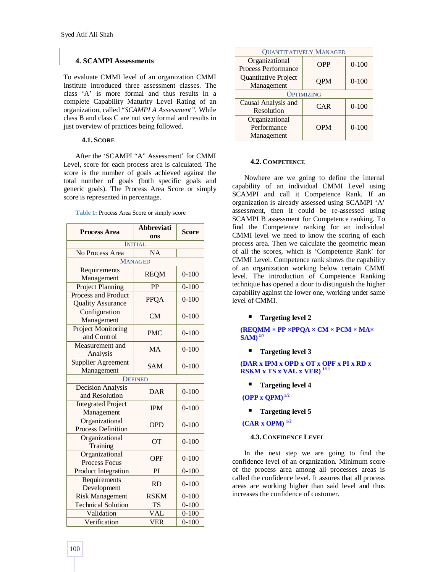# **4. SCAMPI Assessments**

To evaluate CMMI level of an organization CMMI Institute introduced three assessment classes. The class 'A' is more formal and thus results in a complete Capability Maturity Level Rating of an organization, called "*SCAMPI A Assessment"*. While class B and class C are not very formal and results in just overview of practices being followed.

## **4.1. SCORE**

After the 'SCAMPI "A" Assessment' for CMMI Level, score for each process area is calculated. The score is the number of goals achieved against the total number of goals (both specific goals and generic goals). The Process Area Score or simply score is represented in percentage.

**Table 1:** Process Area Score or simply score

| <b>Process Area</b>                             | <b>Abbreviati</b><br>ons | <b>Score</b> |  |  |  |
|-------------------------------------------------|--------------------------|--------------|--|--|--|
|                                                 | <b>INITIAL</b>           |              |  |  |  |
| No Process Area                                 | <b>NA</b>                |              |  |  |  |
|                                                 | <b>MANAGED</b>           |              |  |  |  |
| Requirements<br>Management                      | <b>REQM</b>              | $0-100$      |  |  |  |
| <b>Project Planning</b>                         | PP                       | $0 - 100$    |  |  |  |
| Process and Product<br><b>Quality Assurance</b> | <b>PPQA</b>              | $0 - 100$    |  |  |  |
| Configuration<br>Management                     | <b>CM</b>                | $0 - 100$    |  |  |  |
| <b>Project Monitoring</b><br>and Control        | <b>PMC</b>               | $0 - 100$    |  |  |  |
| Measurement and<br>Analysis                     | MA                       | $0 - 100$    |  |  |  |
| <b>Supplier Agreement</b><br>Management         | <b>SAM</b>               | $0 - 100$    |  |  |  |
| <b>DEFINED</b>                                  |                          |              |  |  |  |
| <b>Decision Analysis</b><br>and Resolution      | <b>DAR</b>               | $0 - 100$    |  |  |  |
| <b>Integrated Project</b><br>Management         | <b>IPM</b>               | $0 - 100$    |  |  |  |
| Organizational<br><b>Process Definition</b>     | <b>OPD</b>               | $0 - 100$    |  |  |  |
| Organizational<br>Training                      | OT                       | $0 - 100$    |  |  |  |
| Organizational<br>Process Focus                 | <b>OPF</b>               | $0 - 100$    |  |  |  |
| Product Integration                             | PI                       | $0 - 100$    |  |  |  |
| Requirements<br>Development                     | <b>RD</b>                | $0 - 100$    |  |  |  |
| <b>Risk Management</b>                          | <b>RSKM</b>              | $0 - 100$    |  |  |  |
| <b>Technical Solution</b>                       | <b>TS</b>                | $0 - 100$    |  |  |  |
| Validation                                      | <b>VAL</b>               | $0 - 100$    |  |  |  |
| Verification                                    | <b>VER</b>               | $0 - 100$    |  |  |  |

| <b>QUANTITATIVELY MANAGED</b> |            |           |  |  |  |
|-------------------------------|------------|-----------|--|--|--|
| Organizational                | <b>OPP</b> | $0 - 100$ |  |  |  |
| <b>Process Performance</b>    |            |           |  |  |  |
| Quantitative Project          | <b>OPM</b> | $0 - 100$ |  |  |  |
| Management                    |            |           |  |  |  |
| <b>OPTIMIZING</b>             |            |           |  |  |  |
| Causal Analysis and           | <b>CAR</b> | $0 - 100$ |  |  |  |
| Resolution                    |            |           |  |  |  |
| Organizational                |            |           |  |  |  |
| Performance                   | <b>OPM</b> | $0 - 100$ |  |  |  |
| Management                    |            |           |  |  |  |

#### **4.2. COMPETENCE**

Nowhere are we going to define the internal capability of an individual CMMI Level using SCAMPI and call it Competence Rank. If an organization is already assessed using SCAMPI 'A' assessment, then it could be re-assessed using SCAMPI B assessment for Competence ranking. To find the Competence ranking for an individual CMMI level we need to know the scoring of each process area. Then we calculate the geometric mean of all the scores, which is 'Competence Rank' for CMMI Level. Competence rank shows the capability of an organization working below certain CMMI level. The introduction of Competence Ranking technique has opened a door to distinguish the higher capability against the lower one, working under same level of CMMI.

## **Targeting level 2**

**(REQMM × PP ×PPQA × CM × PCM × MA× SAM) 1/7**

**Targeting level 3**

**(DAR x IPM x OPD x OT x OPF x PI x RD x RSKM x TS x VAL x VER) 1/11**

**Targeting level 4**

**(OPP x QPM) 1/2**

**Targeting level 5**

**(CAR x OPM) 1/2**

# **4.3. CONFIDENCE LEVEL**

In the next step we are going to find the confidence level of an organization. Minimum score of the process area among all processes areas is called the confidence level. It assures that all process areas are working higher than said level and thus increases the confidence of customer.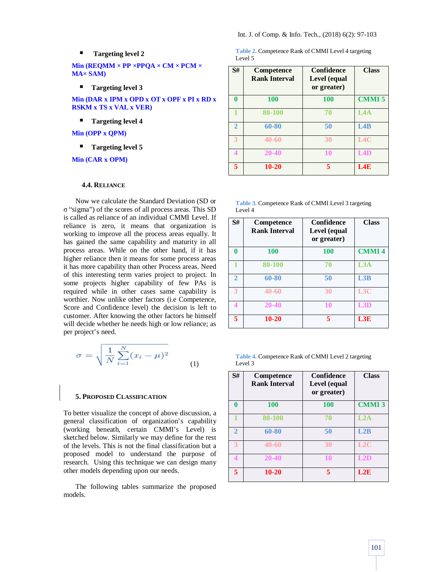#### **Targeting level 2**

**Min (REQMM × PP ×PPQA × CM × PCM × MA× SAM)**

**Targeting level 3**

**Min (DAR x IPM x OPD x OT x OPF x PI x RD x RSKM x TS x VAL x VER)**

**Targeting level 4**

**Min (OPP x QPM)**

**Targeting level 5**

**Min (CAR x OPM)**

### **4.4. RELIANCE**

Now we calculate the Standard Deviation (SD or σ "sigma") of the scores of all process areas. This SD is called as reliance of an individual CMMI Level. If reliance is zero, it means that organization is working to improve all the process areas equally. It has gained the same capability and maturity in all process areas. While on the other hand, if it has higher reliance then it means for some process areas it has more capability than other Process areas. Need of this interesting term varies project to project. In some projects higher capability of few PAs is required while in other cases same capability is worthier. Now unlike other factors (i.e Competence, Score and Confidence level) the decision is left to customer. After knowing the other factors he himself will decide whether he needs high or low reliance; as per project's need.

$$
\sigma = \sqrt{\frac{1}{N} \sum_{i=1}^{N} (x_i - \mu)^2}
$$
 (1)

## **5. PROPOSED CLASSIFICATION**

To better visualize the concept of above discussion, a general classification of organization's capability (working beneath, certain CMMI's Level) is sketched below. Similarly we may define for the rest of the levels. This is not the final classification but a proposed model to understand the purpose of research. Using this technique we can design many other models depending upon our needs.

The following tables summarize the proposed models.

|         | <b>Table 2. Competence Rank of CMMI Level 4 targeting</b> |  |  |
|---------|-----------------------------------------------------------|--|--|
| Level 5 |                                                           |  |  |

| S#       | Competence<br><b>Rank Interval</b> | <b>Confidence</b><br>Level (equal<br>or greater) | <b>Class</b> |
|----------|------------------------------------|--------------------------------------------------|--------------|
| $\bf{0}$ | <b>100</b>                         | <b>100</b>                                       | <b>CMMI5</b> |
|          | 80-100                             | 70                                               | LAA          |
| 2        | 60-80                              | 50                                               | L4B          |
|          | $40 - 60$                          | 30                                               | L4C          |
| 4        | 20-40                              | 10                                               | LAD          |
| 5        | $10 - 20$                          | 5                                                | L4E          |

| <b>Table 3. Competence Rank of CMMI Level 3 targeting</b> |
|-----------------------------------------------------------|
| Level 4                                                   |

| S#             | Competence<br><b>Rank Interval</b> | Confidence<br>Level (equal<br>or greater) | <b>Class</b> |
|----------------|------------------------------------|-------------------------------------------|--------------|
| 0              | 100                                | 100                                       | <b>CMMI4</b> |
|                | 80-100                             | 70                                        | L3A          |
| $\overline{2}$ | 60-80                              | 50                                        | L3B          |
| 3              | 40-60                              | 30                                        | L3C          |
| 4              | $20 - 40$                          | 10                                        | L3D          |
| 5.             | $10 - 20$                          | 5                                         | L3E          |

|         | <b>Table 4. Competence Rank of CMMI Level 2 targeting</b> |  |  |
|---------|-----------------------------------------------------------|--|--|
| Level 3 |                                                           |  |  |

| S#             | Competence<br><b>Rank Interval</b> | <b>Confidence</b><br>Level (equal<br>or greater) | <b>Class</b> |
|----------------|------------------------------------|--------------------------------------------------|--------------|
| $\bf{0}$       | 100                                | 100                                              | <b>CMMI3</b> |
|                | 80-100                             | 70                                               | L2A          |
| $\overline{2}$ | 60-80                              | 50                                               | L2B          |
| ٦              | $40 - 60$                          | 30                                               | L2C          |
| 4              | $20 - 40$                          | 10                                               | L2D          |
| 5              | $10 - 20$                          | 5                                                | L2E          |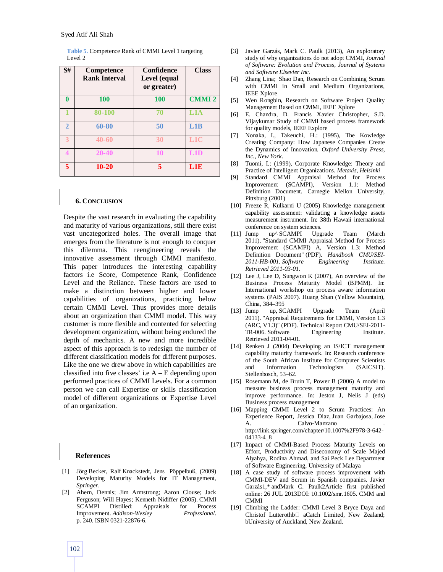| S#             | Competence<br><b>Rank Interval</b> | <b>Confidence</b><br>Level (equal<br>or greater) | <b>Class</b>     |
|----------------|------------------------------------|--------------------------------------------------|------------------|
| 0              | 100                                | 100                                              | <b>CMMI2</b>     |
|                | 80-100                             | 70                                               | L1A              |
| $\overline{2}$ | 60-80                              | 50                                               | L1B              |
| 3              | $40 - 60$                          | 30                                               | L <sub>1</sub> C |
|                | 20-40                              | 10                                               | L1D              |
| 5              | $10 - 20$                          |                                                  | L1E              |

**Table 5.** Competence Rank of CMMI Level 1 targeting Level 2

#### **6. CONCLUSION**

Despite the vast research in evaluating the capability and maturity of various organizations, still there exist vast uncategorized holes. The overall image that emerges from the literature is not enough to conquer this dilemma. This reengineering reveals the innovative assessment through CMMI manifesto. This paper introduces the interesting capability factors i.e Score, Competence Rank, Confidence Level and the Reliance. These factors are used to make a distinction between higher and lower capabilities of organizations, practicing below certain CMMI Level. Thus provides more details about an organization than CMMI model. This way customer is more flexible and contented for selecting development organization, without being endured the depth of mechanics. A new and more incredible aspect of this approach is to redesign the number of different classification models for different purposes. Like the one we drew above in which capabilities are classified into five classes' i.e  $A - E$  depending upon performed practices of CMMI Levels. For a common person we can call Expertise or skills classification model of different organizations or Expertise Level of an organization.

#### **References**

- [1] Jörg Becker, Ralf Knackstedt, Jens Pöppelbuß, (2009) Developing Maturity Models for IT Management, *Springer*.
- [2] Ahern, Dennis; Jim Armstrong; Aaron Clouse; Jack Ferguson; Will Hayes; Kenneth Nidiffer (2005). CMMI SCAMPI Distilled: Appraisals for Process Improvement. *Addison-Wesley Professional*. p. 240. ISBN 0321-22876-6.
- [3] Javier Garzás, Mark C. Paulk (2013), An exploratory study of why organizations do not adopt CMMI, *Journal of Software: Evolution and Process, Journal of Systems and Software Elsevier Inc*.
- [4] Zhang Lina; Shao Dan, Research on Combining Scrum with CMMI in Small and Medium Organizations, IEEE Xplore
- [5] Wen Rongbin, Research on Software Project Quality Management Based on CMMI, IEEE Xplore
- [6] E. Chandra, D. Francis Xavier Christopher, S.D. Vijaykumar Study of CMMI based process framework for quality models, IEEE Explore
- [7] Nonaka, I., Takeuchi, H.: (1995), The Kowledge Creating Company: How Japanese Companies Create the Dynamics of Innovation*. Oxford University Press, Inc., New York*.
- [8] Tuomi, I.: (1999), Corporate Knowledge: Theory and Practice of Intelligent Organizations. *Metaxis*, *Helsinki*
- [9] Standard CMMI Appraisal Method for Process Improvement (SCAMPI), Version 1.1: Method Definition Document. Carnegie Mellon University, Pittsburg (2001)
- [10] Freeze R, Kulkarni U (2005) Knowledge management capability assessment: validating a knowledge assets measurement instrument. In: 38th Hawaii international conference on system sciences.
- [11] Jump up^ SCAMPI Upgrade Team (March 2011). "Standard CMMI Appraisal Method for Process Improvement (SCAMPI) A, Version 1.3: Method Definition Document" (PDF). *Handbook CMU/SEI-2011-HB-001. Software Engineering Institute. Retrieved 2011-03-01.*
- [12] Lee J, Lee D, Sungwon K (2007), An overview of the Business Process Maturity Model (BPMM). In: International workshop on process aware information systems (PAIS 2007). Huang Shan (Yellow Mountain), China, 384–395
- [13] Jump up, SCAMPI Upgrade Team (April 2011). "Appraisal Requirements for CMMI, Version 1.3 (ARC, V1.3)" (PDF). Technical Report CMU/SEI-2011- TR-006. Software Engineering Institute. Retrieved 2011-04-01.
- [14] Renken J (2004) Developing an IS/ICT management capability maturity framework. In: Research conference of the South African Institute for Computer Scientists and Information Technologists (SAICSIT). Stellenbosch, 53–62.
- [15] Rosemann M, de Bruin T, Power B (2006) A model to measure business process management maturity and improve performance. In: Jeston J, Nelis J (eds) Business process management
- [16] Mapping CMMI Level 2 to Scrum Practices: An Experience Report, Jessica Diaz, Juan Garbajosa, Jose A. Calvo-Manzano http://link.springer.com/chapter/10.1007%2F978-3-642- 04133-4\_8
- [17] Impact of CMMI-Based Process Maturity Levels on Effort, Productivity and Diseconomy of Scale Majed Alyahya, Rodina Ahmad, and Sai Peck Lee Department of Software Engineering, University of Malaya
- [18] A case study of software process improvement with CMMI-DEV and Scrum in Spanish companies. Javier Garzás1,\* andMark C. Paulk2Article first published online: 26 JUL 2013DOI: 10.1002/smr.1605. CMM and CMMI
- [19] Climbing the Ladder: CMMI Level 3 Bryce Daya and Christof Lutterothb<sup>[1]</sup> aCatch Limited, New Zealand; bUniversity of Auckland, New Zealand.